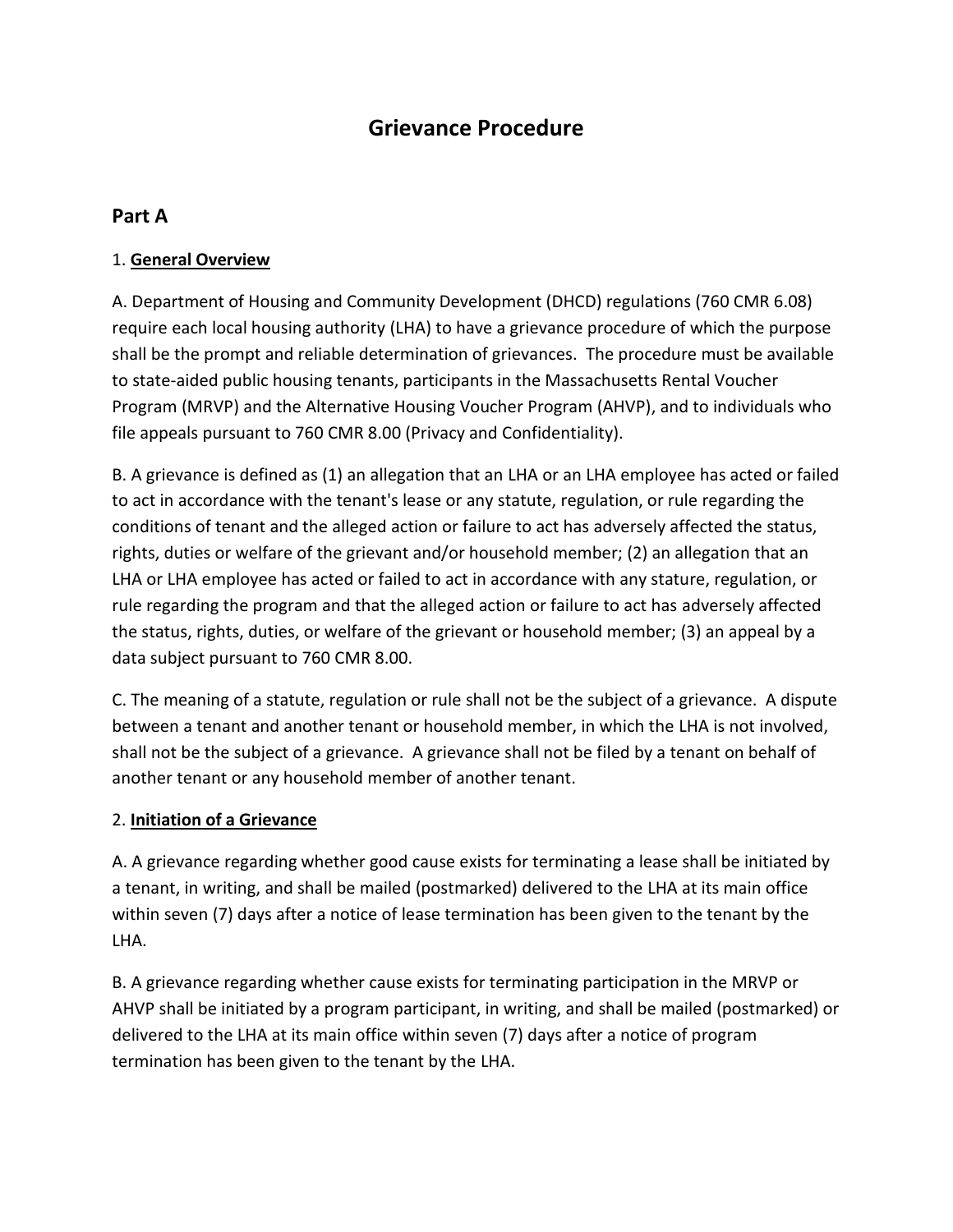# **Grievance Procedure**

### **Part A**

### 1. **General Overview**

A. Department of Housing and Community Development (DHCD) regulations (760 CMR 6.08) require each local housing authority (LHA) to have a grievance procedure of which the purpose shall be the prompt and reliable determination of grievances. The procedure must be available to state-aided public housing tenants, participants in the Massachusetts Rental Voucher Program (MRVP) and the Alternative Housing Voucher Program (AHVP), and to individuals who file appeals pursuant to 760 CMR 8.00 (Privacy and Confidentiality).

B. A grievance is defined as (1) an allegation that an LHA or an LHA employee has acted or failed to act in accordance with the tenant's lease or any statute, regulation, or rule regarding the conditions of tenant and the alleged action or failure to act has adversely affected the status, rights, duties or welfare of the grievant and/or household member; (2) an allegation that an LHA or LHA employee has acted or failed to act in accordance with any stature, regulation, or rule regarding the program and that the alleged action or failure to act has adversely affected the status, rights, duties, or welfare of the grievant or household member; (3) an appeal by a data subject pursuant to 760 CMR 8.00.

C. The meaning of a statute, regulation or rule shall not be the subject of a grievance. A dispute between a tenant and another tenant or household member, in which the LHA is not involved, shall not be the subject of a grievance. A grievance shall not be filed by a tenant on behalf of another tenant or any household member of another tenant.

#### 2. **Initiation of a Grievance**

A. A grievance regarding whether good cause exists for terminating a lease shall be initiated by a tenant, in writing, and shall be mailed (postmarked) delivered to the LHA at its main office within seven (7) days after a notice of lease termination has been given to the tenant by the LHA.

B. A grievance regarding whether cause exists for terminating participation in the MRVP or AHVP shall be initiated by a program participant, in writing, and shall be mailed (postmarked) or delivered to the LHA at its main office within seven (7) days after a notice of program termination has been given to the tenant by the LHA.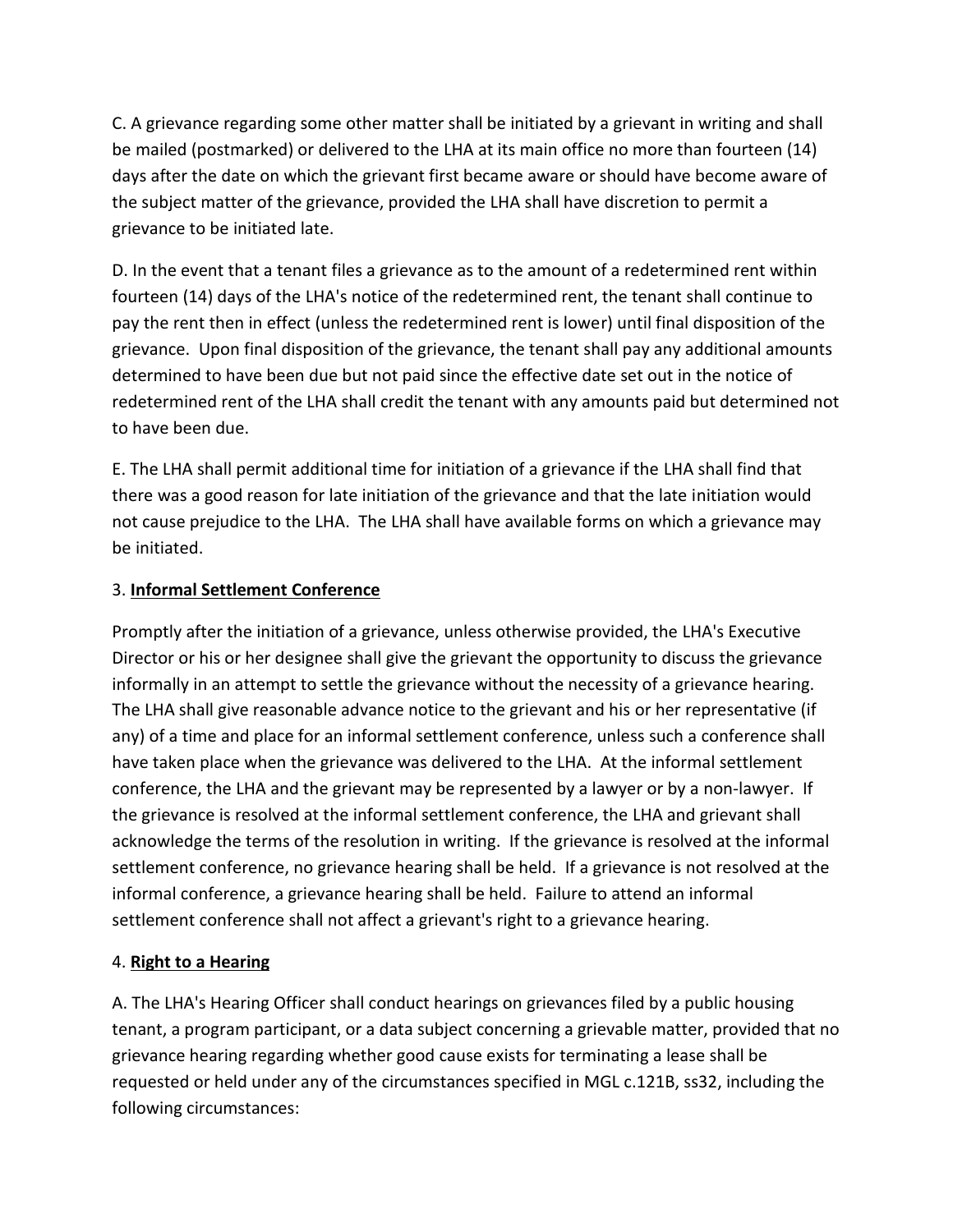C. A grievance regarding some other matter shall be initiated by a grievant in writing and shall be mailed (postmarked) or delivered to the LHA at its main office no more than fourteen (14) days after the date on which the grievant first became aware or should have become aware of the subject matter of the grievance, provided the LHA shall have discretion to permit a grievance to be initiated late.

D. In the event that a tenant files a grievance as to the amount of a redetermined rent within fourteen (14) days of the LHA's notice of the redetermined rent, the tenant shall continue to pay the rent then in effect (unless the redetermined rent is lower) until final disposition of the grievance. Upon final disposition of the grievance, the tenant shall pay any additional amounts determined to have been due but not paid since the effective date set out in the notice of redetermined rent of the LHA shall credit the tenant with any amounts paid but determined not to have been due.

E. The LHA shall permit additional time for initiation of a grievance if the LHA shall find that there was a good reason for late initiation of the grievance and that the late initiation would not cause prejudice to the LHA. The LHA shall have available forms on which a grievance may be initiated.

### 3. **Informal Settlement Conference**

Promptly after the initiation of a grievance, unless otherwise provided, the LHA's Executive Director or his or her designee shall give the grievant the opportunity to discuss the grievance informally in an attempt to settle the grievance without the necessity of a grievance hearing. The LHA shall give reasonable advance notice to the grievant and his or her representative (if any) of a time and place for an informal settlement conference, unless such a conference shall have taken place when the grievance was delivered to the LHA. At the informal settlement conference, the LHA and the grievant may be represented by a lawyer or by a non-lawyer. If the grievance is resolved at the informal settlement conference, the LHA and grievant shall acknowledge the terms of the resolution in writing. If the grievance is resolved at the informal settlement conference, no grievance hearing shall be held. If a grievance is not resolved at the informal conference, a grievance hearing shall be held. Failure to attend an informal settlement conference shall not affect a grievant's right to a grievance hearing.

### 4. **Right to a Hearing**

A. The LHA's Hearing Officer shall conduct hearings on grievances filed by a public housing tenant, a program participant, or a data subject concerning a grievable matter, provided that no grievance hearing regarding whether good cause exists for terminating a lease shall be requested or held under any of the circumstances specified in MGL c.121B, ss32, including the following circumstances: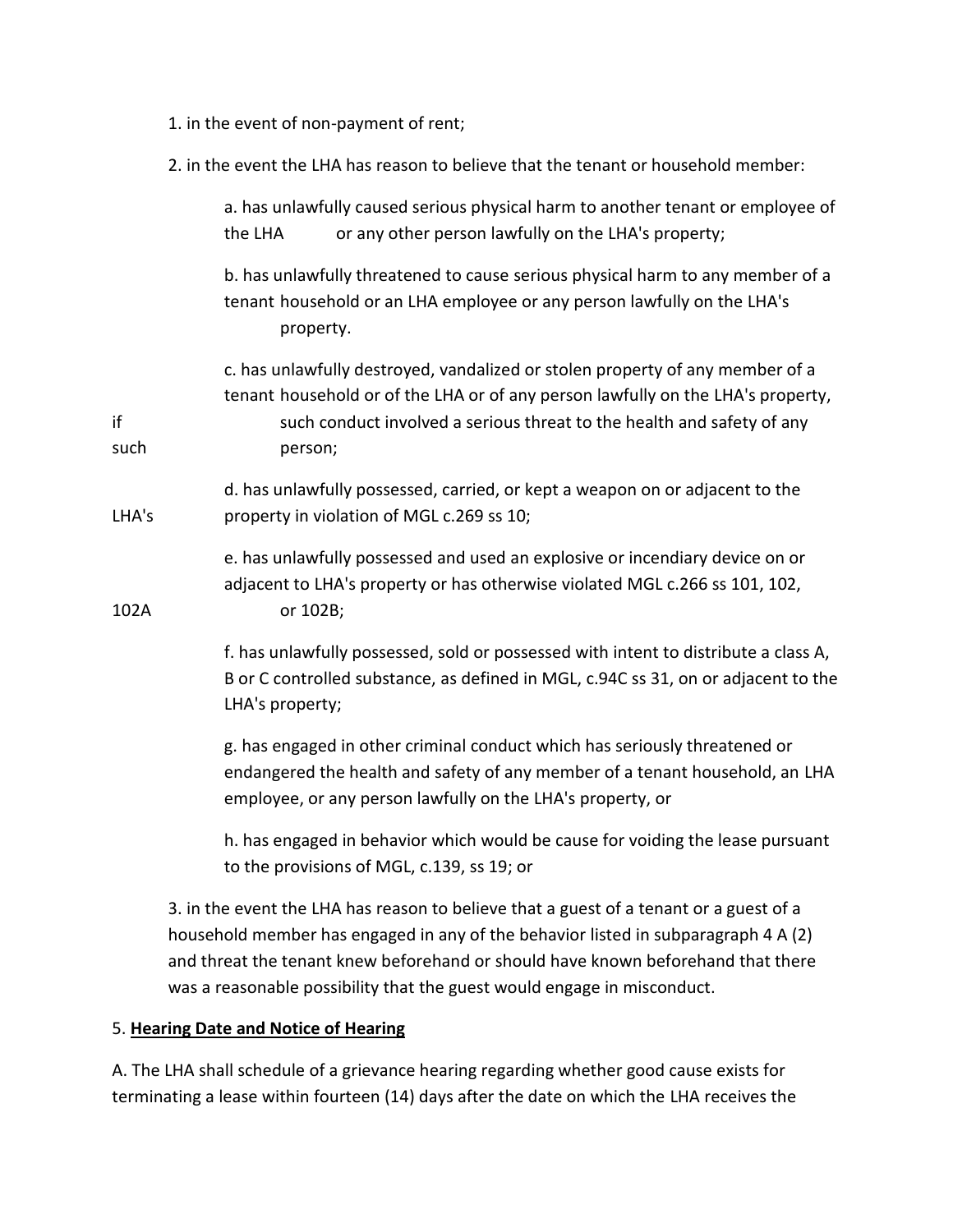- 1. in the event of non-payment of rent;
- 2. in the event the LHA has reason to believe that the tenant or household member:

|            | a. has unlawfully caused serious physical harm to another tenant or employee of<br>or any other person lawfully on the LHA's property;<br>the LHA                                                                                                     |
|------------|-------------------------------------------------------------------------------------------------------------------------------------------------------------------------------------------------------------------------------------------------------|
|            | b. has unlawfully threatened to cause serious physical harm to any member of a<br>tenant household or an LHA employee or any person lawfully on the LHA's<br>property.                                                                                |
| if<br>such | c. has unlawfully destroyed, vandalized or stolen property of any member of a<br>tenant household or of the LHA or of any person lawfully on the LHA's property,<br>such conduct involved a serious threat to the health and safety of any<br>person; |
| LHA's      | d. has unlawfully possessed, carried, or kept a weapon on or adjacent to the<br>property in violation of MGL c.269 ss 10;                                                                                                                             |
| 102A       | e. has unlawfully possessed and used an explosive or incendiary device on or<br>adjacent to LHA's property or has otherwise violated MGL c.266 ss 101, 102,<br>or 102B;                                                                               |
|            | f. has unlawfully possessed, sold or possessed with intent to distribute a class A,<br>B or C controlled substance, as defined in MGL, c.94C ss 31, on or adjacent to the<br>LHA's property;                                                          |
|            | g. has engaged in other criminal conduct which has seriously threatened or<br>endangered the health and safety of any member of a tenant household, an LHA<br>employee, or any person lawfully on the LHA's property, or                              |
|            | h. has engaged in behavior which would be cause for voiding the lease pursuant<br>to the provisions of MGL, c.139, ss 19; or                                                                                                                          |
|            | 3. in the event the LHA has reason to believe that a guest of a tenant or a guest of a<br>household member has engaged in any of the behavior listed in subparagraph 4 A (2)                                                                          |

household member has engaged in any of the behavior listed in subparagraph 4 A (2) and threat the tenant knew beforehand or should have known beforehand that there was a reasonable possibility that the guest would engage in misconduct.

### 5. **Hearing Date and Notice of Hearing**

A. The LHA shall schedule of a grievance hearing regarding whether good cause exists for terminating a lease within fourteen (14) days after the date on which the LHA receives the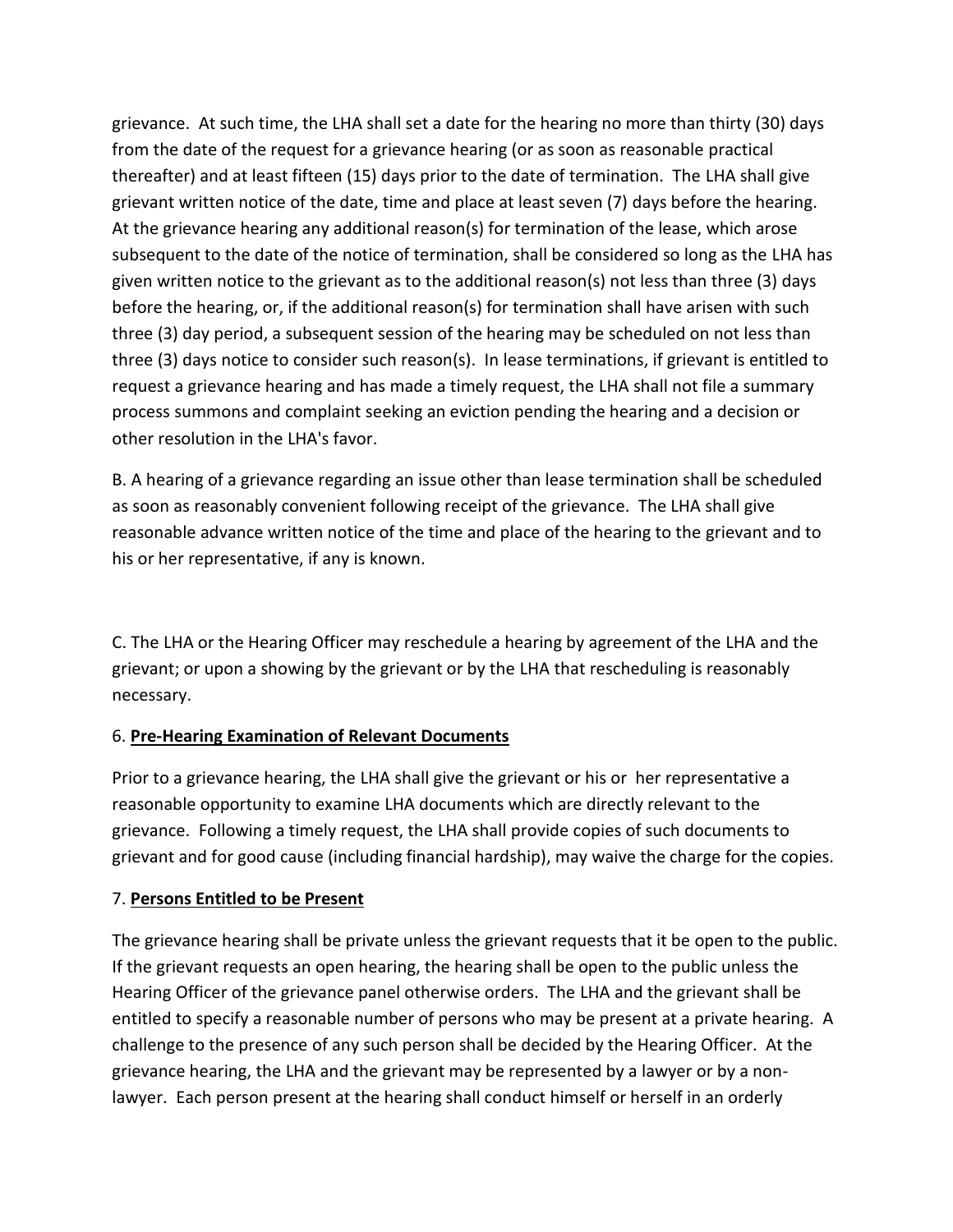grievance. At such time, the LHA shall set a date for the hearing no more than thirty (30) days from the date of the request for a grievance hearing (or as soon as reasonable practical thereafter) and at least fifteen (15) days prior to the date of termination. The LHA shall give grievant written notice of the date, time and place at least seven (7) days before the hearing. At the grievance hearing any additional reason(s) for termination of the lease, which arose subsequent to the date of the notice of termination, shall be considered so long as the LHA has given written notice to the grievant as to the additional reason(s) not less than three (3) days before the hearing, or, if the additional reason(s) for termination shall have arisen with such three (3) day period, a subsequent session of the hearing may be scheduled on not less than three (3) days notice to consider such reason(s). In lease terminations, if grievant is entitled to request a grievance hearing and has made a timely request, the LHA shall not file a summary process summons and complaint seeking an eviction pending the hearing and a decision or other resolution in the LHA's favor.

B. A hearing of a grievance regarding an issue other than lease termination shall be scheduled as soon as reasonably convenient following receipt of the grievance. The LHA shall give reasonable advance written notice of the time and place of the hearing to the grievant and to his or her representative, if any is known.

C. The LHA or the Hearing Officer may reschedule a hearing by agreement of the LHA and the grievant; or upon a showing by the grievant or by the LHA that rescheduling is reasonably necessary.

### 6. **Pre-Hearing Examination of Relevant Documents**

Prior to a grievance hearing, the LHA shall give the grievant or his or her representative a reasonable opportunity to examine LHA documents which are directly relevant to the grievance. Following a timely request, the LHA shall provide copies of such documents to grievant and for good cause (including financial hardship), may waive the charge for the copies.

### 7. **Persons Entitled to be Present**

The grievance hearing shall be private unless the grievant requests that it be open to the public. If the grievant requests an open hearing, the hearing shall be open to the public unless the Hearing Officer of the grievance panel otherwise orders. The LHA and the grievant shall be entitled to specify a reasonable number of persons who may be present at a private hearing. A challenge to the presence of any such person shall be decided by the Hearing Officer. At the grievance hearing, the LHA and the grievant may be represented by a lawyer or by a nonlawyer. Each person present at the hearing shall conduct himself or herself in an orderly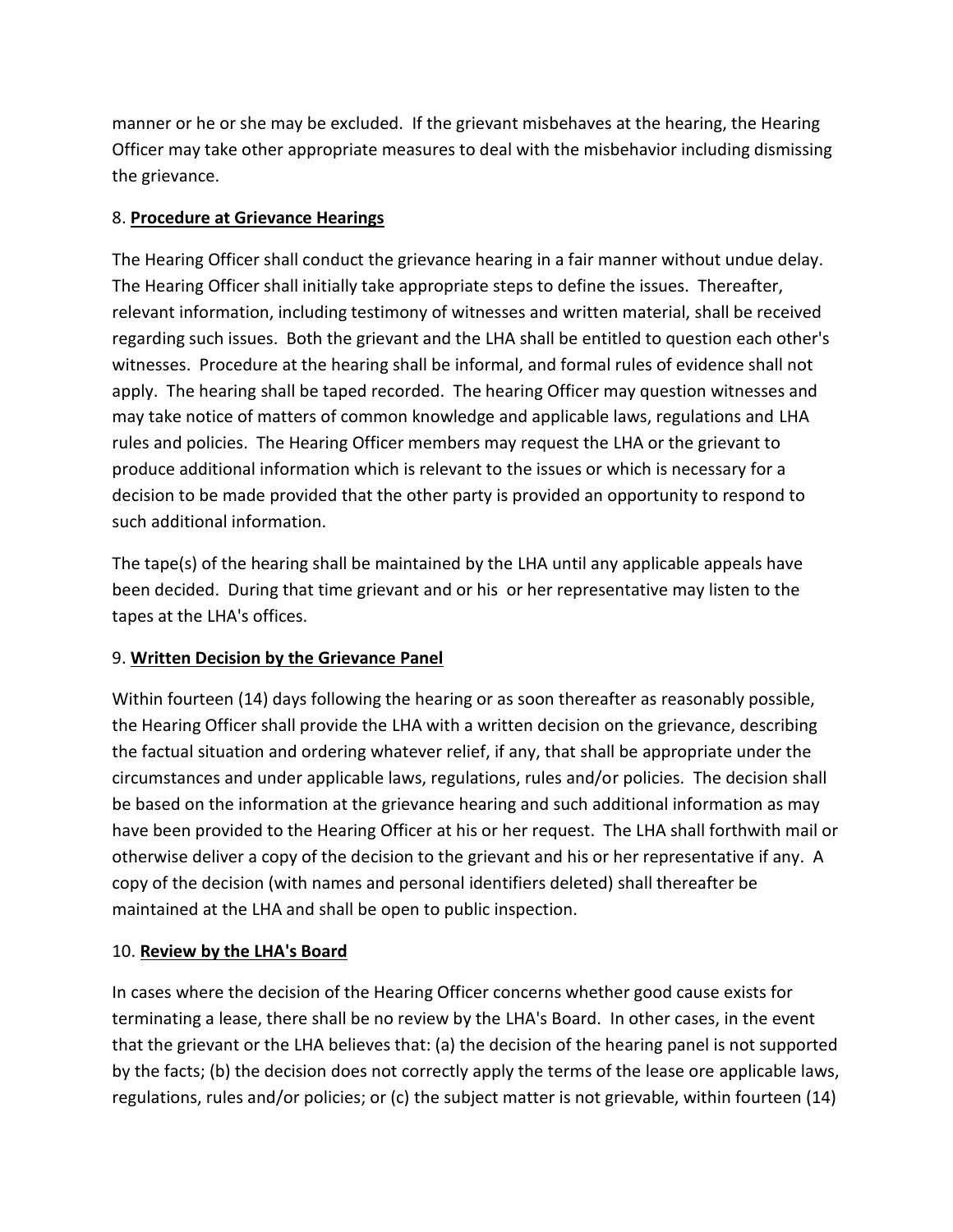manner or he or she may be excluded. If the grievant misbehaves at the hearing, the Hearing Officer may take other appropriate measures to deal with the misbehavior including dismissing the grievance.

### 8. **Procedure at Grievance Hearings**

The Hearing Officer shall conduct the grievance hearing in a fair manner without undue delay. The Hearing Officer shall initially take appropriate steps to define the issues. Thereafter, relevant information, including testimony of witnesses and written material, shall be received regarding such issues. Both the grievant and the LHA shall be entitled to question each other's witnesses. Procedure at the hearing shall be informal, and formal rules of evidence shall not apply. The hearing shall be taped recorded. The hearing Officer may question witnesses and may take notice of matters of common knowledge and applicable laws, regulations and LHA rules and policies. The Hearing Officer members may request the LHA or the grievant to produce additional information which is relevant to the issues or which is necessary for a decision to be made provided that the other party is provided an opportunity to respond to such additional information.

The tape(s) of the hearing shall be maintained by the LHA until any applicable appeals have been decided. During that time grievant and or his or her representative may listen to the tapes at the LHA's offices.

### 9. **Written Decision by the Grievance Panel**

Within fourteen (14) days following the hearing or as soon thereafter as reasonably possible, the Hearing Officer shall provide the LHA with a written decision on the grievance, describing the factual situation and ordering whatever relief, if any, that shall be appropriate under the circumstances and under applicable laws, regulations, rules and/or policies. The decision shall be based on the information at the grievance hearing and such additional information as may have been provided to the Hearing Officer at his or her request. The LHA shall forthwith mail or otherwise deliver a copy of the decision to the grievant and his or her representative if any. A copy of the decision (with names and personal identifiers deleted) shall thereafter be maintained at the LHA and shall be open to public inspection.

### 10. **Review by the LHA's Board**

In cases where the decision of the Hearing Officer concerns whether good cause exists for terminating a lease, there shall be no review by the LHA's Board. In other cases, in the event that the grievant or the LHA believes that: (a) the decision of the hearing panel is not supported by the facts; (b) the decision does not correctly apply the terms of the lease ore applicable laws, regulations, rules and/or policies; or (c) the subject matter is not grievable, within fourteen (14)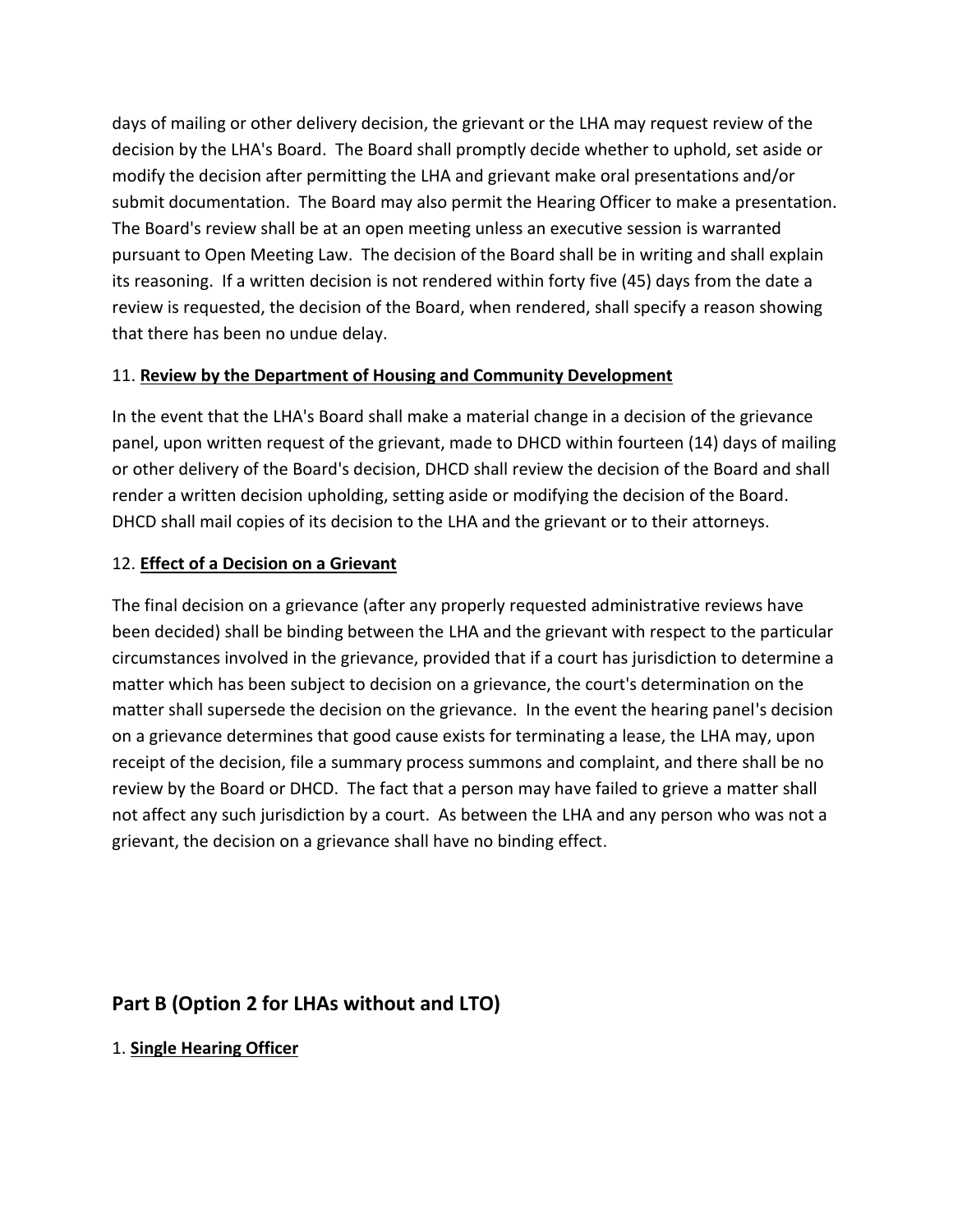days of mailing or other delivery decision, the grievant or the LHA may request review of the decision by the LHA's Board. The Board shall promptly decide whether to uphold, set aside or modify the decision after permitting the LHA and grievant make oral presentations and/or submit documentation. The Board may also permit the Hearing Officer to make a presentation. The Board's review shall be at an open meeting unless an executive session is warranted pursuant to Open Meeting Law. The decision of the Board shall be in writing and shall explain its reasoning. If a written decision is not rendered within forty five (45) days from the date a review is requested, the decision of the Board, when rendered, shall specify a reason showing that there has been no undue delay.

### 11. **Review by the Department of Housing and Community Development**

In the event that the LHA's Board shall make a material change in a decision of the grievance panel, upon written request of the grievant, made to DHCD within fourteen (14) days of mailing or other delivery of the Board's decision, DHCD shall review the decision of the Board and shall render a written decision upholding, setting aside or modifying the decision of the Board. DHCD shall mail copies of its decision to the LHA and the grievant or to their attorneys.

### 12. **Effect of a Decision on a Grievant**

The final decision on a grievance (after any properly requested administrative reviews have been decided) shall be binding between the LHA and the grievant with respect to the particular circumstances involved in the grievance, provided that if a court has jurisdiction to determine a matter which has been subject to decision on a grievance, the court's determination on the matter shall supersede the decision on the grievance. In the event the hearing panel's decision on a grievance determines that good cause exists for terminating a lease, the LHA may, upon receipt of the decision, file a summary process summons and complaint, and there shall be no review by the Board or DHCD. The fact that a person may have failed to grieve a matter shall not affect any such jurisdiction by a court. As between the LHA and any person who was not a grievant, the decision on a grievance shall have no binding effect.

## **Part B (Option 2 for LHAs without and LTO)**

### 1. **Single Hearing Officer**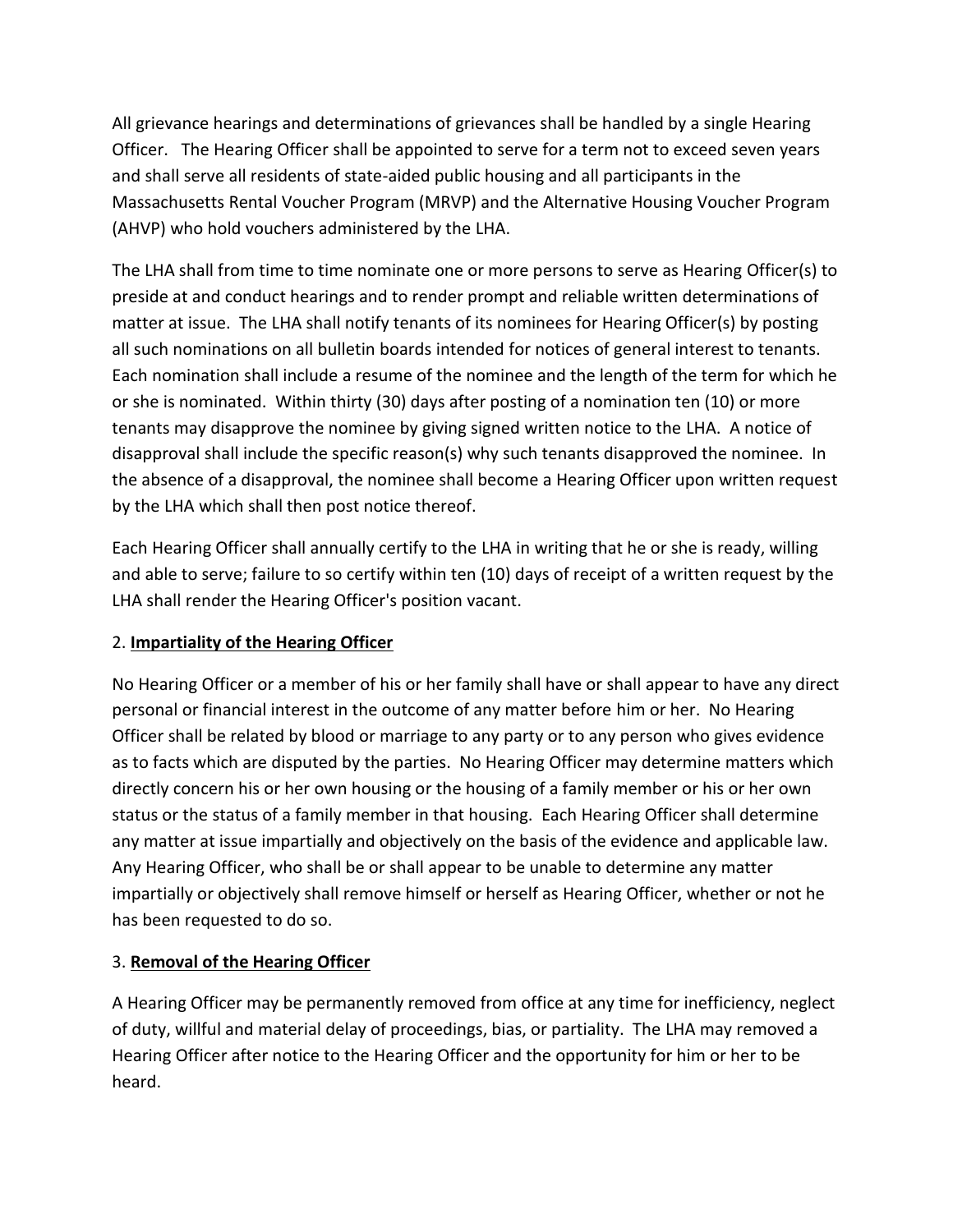All grievance hearings and determinations of grievances shall be handled by a single Hearing Officer. The Hearing Officer shall be appointed to serve for a term not to exceed seven years and shall serve all residents of state-aided public housing and all participants in the Massachusetts Rental Voucher Program (MRVP) and the Alternative Housing Voucher Program (AHVP) who hold vouchers administered by the LHA.

The LHA shall from time to time nominate one or more persons to serve as Hearing Officer(s) to preside at and conduct hearings and to render prompt and reliable written determinations of matter at issue. The LHA shall notify tenants of its nominees for Hearing Officer(s) by posting all such nominations on all bulletin boards intended for notices of general interest to tenants. Each nomination shall include a resume of the nominee and the length of the term for which he or she is nominated. Within thirty (30) days after posting of a nomination ten (10) or more tenants may disapprove the nominee by giving signed written notice to the LHA. A notice of disapproval shall include the specific reason(s) why such tenants disapproved the nominee. In the absence of a disapproval, the nominee shall become a Hearing Officer upon written request by the LHA which shall then post notice thereof.

Each Hearing Officer shall annually certify to the LHA in writing that he or she is ready, willing and able to serve; failure to so certify within ten (10) days of receipt of a written request by the LHA shall render the Hearing Officer's position vacant.

### 2. **Impartiality of the Hearing Officer**

No Hearing Officer or a member of his or her family shall have or shall appear to have any direct personal or financial interest in the outcome of any matter before him or her. No Hearing Officer shall be related by blood or marriage to any party or to any person who gives evidence as to facts which are disputed by the parties. No Hearing Officer may determine matters which directly concern his or her own housing or the housing of a family member or his or her own status or the status of a family member in that housing. Each Hearing Officer shall determine any matter at issue impartially and objectively on the basis of the evidence and applicable law. Any Hearing Officer, who shall be or shall appear to be unable to determine any matter impartially or objectively shall remove himself or herself as Hearing Officer, whether or not he has been requested to do so.

### 3. **Removal of the Hearing Officer**

A Hearing Officer may be permanently removed from office at any time for inefficiency, neglect of duty, willful and material delay of proceedings, bias, or partiality. The LHA may removed a Hearing Officer after notice to the Hearing Officer and the opportunity for him or her to be heard.